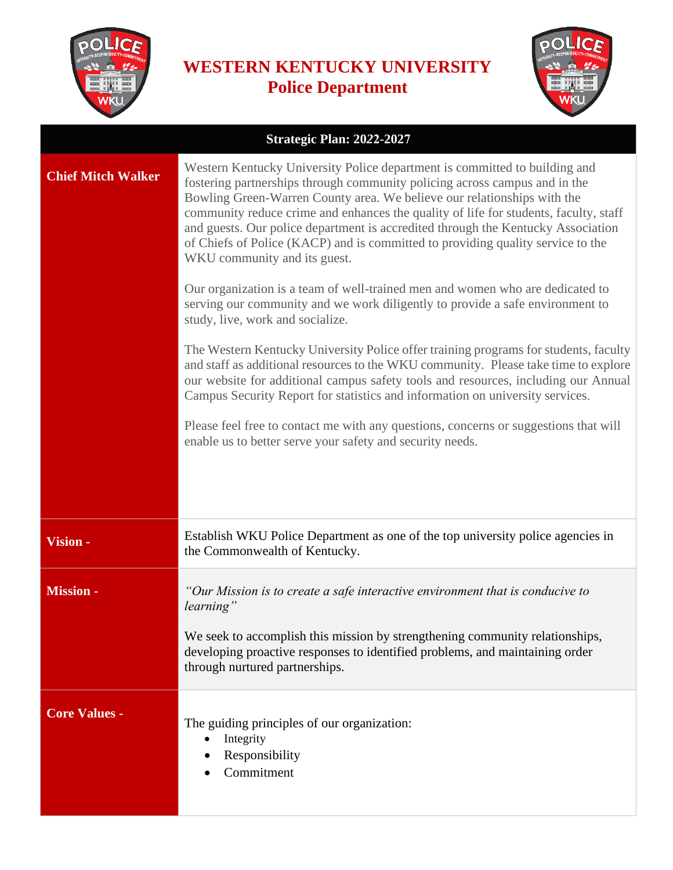

## **WESTERN KENTUCKY UNIVERSITY Police Department**



| Strategic Plan: 2022-2027 |                                                                                                                                                                                                                                                                                                                                                                                                                                                                                                                                    |  |
|---------------------------|------------------------------------------------------------------------------------------------------------------------------------------------------------------------------------------------------------------------------------------------------------------------------------------------------------------------------------------------------------------------------------------------------------------------------------------------------------------------------------------------------------------------------------|--|
| <b>Chief Mitch Walker</b> | Western Kentucky University Police department is committed to building and<br>fostering partnerships through community policing across campus and in the<br>Bowling Green-Warren County area. We believe our relationships with the<br>community reduce crime and enhances the quality of life for students, faculty, staff<br>and guests. Our police department is accredited through the Kentucky Association<br>of Chiefs of Police (KACP) and is committed to providing quality service to the<br>WKU community and its guest. |  |
|                           | Our organization is a team of well-trained men and women who are dedicated to<br>serving our community and we work diligently to provide a safe environment to<br>study, live, work and socialize.                                                                                                                                                                                                                                                                                                                                 |  |
|                           | The Western Kentucky University Police offer training programs for students, faculty<br>and staff as additional resources to the WKU community. Please take time to explore<br>our website for additional campus safety tools and resources, including our Annual<br>Campus Security Report for statistics and information on university services.                                                                                                                                                                                 |  |
|                           | Please feel free to contact me with any questions, concerns or suggestions that will<br>enable us to better serve your safety and security needs.                                                                                                                                                                                                                                                                                                                                                                                  |  |
|                           |                                                                                                                                                                                                                                                                                                                                                                                                                                                                                                                                    |  |
| Vision -                  | Establish WKU Police Department as one of the top university police agencies in<br>the Commonwealth of Kentucky.                                                                                                                                                                                                                                                                                                                                                                                                                   |  |
| <b>Mission -</b>          | "Our Mission is to create a safe interactive environment that is conducive to<br>learning"                                                                                                                                                                                                                                                                                                                                                                                                                                         |  |
|                           | We seek to accomplish this mission by strengthening community relationships,<br>developing proactive responses to identified problems, and maintaining order<br>through nurtured partnerships.                                                                                                                                                                                                                                                                                                                                     |  |
| <b>Core Values -</b>      | The guiding principles of our organization:<br>Integrity<br>Responsibility<br>Commitment                                                                                                                                                                                                                                                                                                                                                                                                                                           |  |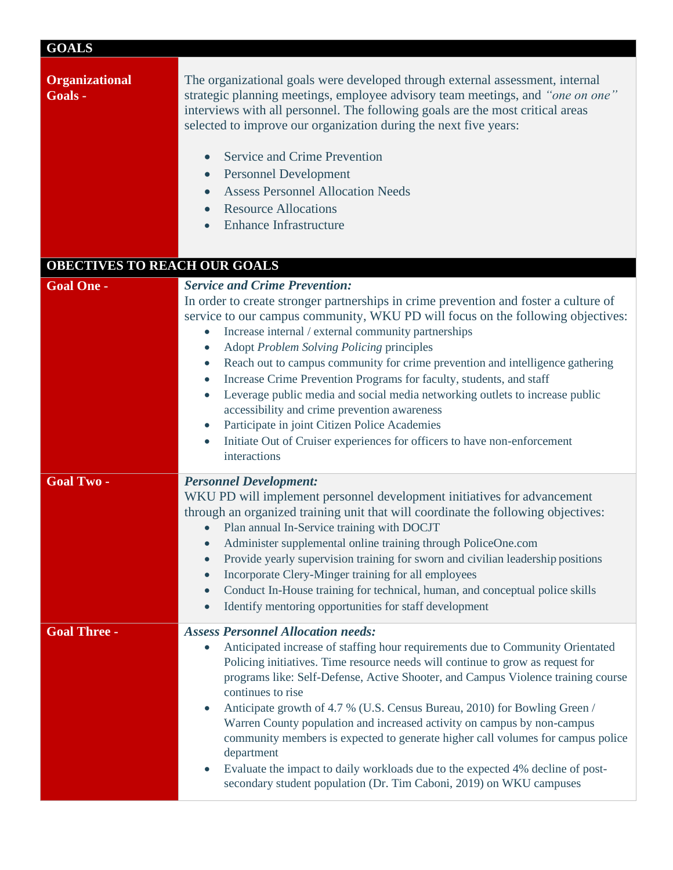| <b>GOALS</b> |  |
|--------------|--|

| <b>Organizational</b><br>Goals - | The organizational goals were developed through external assessment, internal<br>strategic planning meetings, employee advisory team meetings, and "one on one"<br>interviews with all personnel. The following goals are the most critical areas<br>selected to improve our organization during the next five years:<br><b>Service and Crime Prevention</b><br><b>Personnel Development</b><br>$\bullet$<br><b>Assess Personnel Allocation Needs</b><br>$\bullet$<br><b>Resource Allocations</b><br><b>Enhance Infrastructure</b>                                                                                                                                                                                                                                                                                        |  |  |
|----------------------------------|---------------------------------------------------------------------------------------------------------------------------------------------------------------------------------------------------------------------------------------------------------------------------------------------------------------------------------------------------------------------------------------------------------------------------------------------------------------------------------------------------------------------------------------------------------------------------------------------------------------------------------------------------------------------------------------------------------------------------------------------------------------------------------------------------------------------------|--|--|
|                                  | OBECTIVES TO REACH OUR GOALS                                                                                                                                                                                                                                                                                                                                                                                                                                                                                                                                                                                                                                                                                                                                                                                              |  |  |
| <b>Goal One -</b>                | <b>Service and Crime Prevention:</b><br>In order to create stronger partnerships in crime prevention and foster a culture of<br>service to our campus community, WKU PD will focus on the following objectives:<br>Increase internal / external community partnerships<br>Adopt Problem Solving Policing principles<br>Reach out to campus community for crime prevention and intelligence gathering<br>$\bullet$<br>Increase Crime Prevention Programs for faculty, students, and staff<br>$\bullet$<br>Leverage public media and social media networking outlets to increase public<br>$\bullet$<br>accessibility and crime prevention awareness<br>Participate in joint Citizen Police Academies<br>$\bullet$<br>Initiate Out of Cruiser experiences for officers to have non-enforcement<br>$\bullet$<br>interactions |  |  |
| <b>Goal Two-</b>                 | <b>Personnel Development:</b><br>WKU PD will implement personnel development initiatives for advancement<br>through an organized training unit that will coordinate the following objectives:<br>Plan annual In-Service training with DOCJT<br>Administer supplemental online training through PoliceOne.com<br>Provide yearly supervision training for sworn and civilian leadership positions<br>$\bullet$<br>Incorporate Clery-Minger training for all employees<br>$\bullet$<br>Conduct In-House training for technical, human, and conceptual police skills<br>$\bullet$<br>Identify mentoring opportunities for staff development<br>$\bullet$                                                                                                                                                                      |  |  |
| <b>Goal Three -</b>              | <b>Assess Personnel Allocation needs:</b><br>Anticipated increase of staffing hour requirements due to Community Orientated<br>$\bullet$<br>Policing initiatives. Time resource needs will continue to grow as request for<br>programs like: Self-Defense, Active Shooter, and Campus Violence training course<br>continues to rise<br>Anticipate growth of 4.7 % (U.S. Census Bureau, 2010) for Bowling Green /<br>$\bullet$<br>Warren County population and increased activity on campus by non-campus<br>community members is expected to generate higher call volumes for campus police<br>department<br>Evaluate the impact to daily workloads due to the expected 4% decline of post-<br>secondary student population (Dr. Tim Caboni, 2019) on WKU campuses                                                        |  |  |